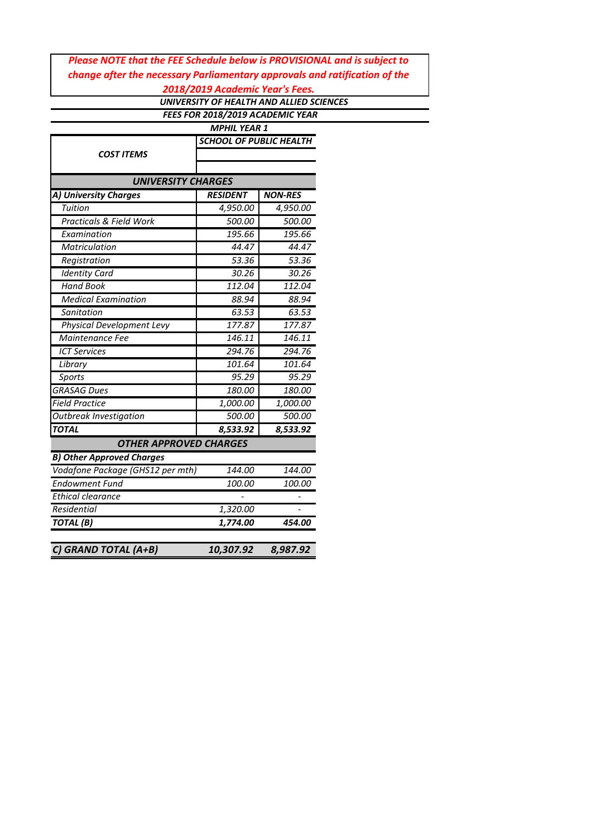# *Please NOTE that the FEE Schedule below is PROVISIONAL and is subject to change after the necessary Parliamentary approvals and ratification of the*

*2018/2019 Academic Year's Fees.*

 *UNIVERSITY OF HEALTH AND ALLIED SCIENCES FEES FOR 2018/2019 ACADEMIC YEAR*

|                                  | <b>MPHIL YEAR 1</b>            |                |  |  |  |
|----------------------------------|--------------------------------|----------------|--|--|--|
|                                  | <b>SCHOOL OF PUBLIC HEALTH</b> |                |  |  |  |
| COST ITEMS                       |                                |                |  |  |  |
|                                  |                                |                |  |  |  |
| <b>UNIVERSITY CHARGES</b>        |                                |                |  |  |  |
| A) University Charges            | <b>RESIDENT</b>                | <b>NON-RES</b> |  |  |  |
| Tuition                          | 4,950.00                       | 4,950.00       |  |  |  |
| Practicals & Field Work          | 500.00                         | 500.00         |  |  |  |
| Examination                      | 195.66                         | 195.66         |  |  |  |
| Matriculation                    | 44.47                          | 44.47          |  |  |  |
| Registration                     | 53.36                          | 53.36          |  |  |  |
| <b>Identity Card</b>             | 30.26                          | 30.26          |  |  |  |
| <b>Hand Book</b>                 | 112.04                         | 112.04         |  |  |  |
| <b>Medical Examination</b>       | 88.94                          | 88.94          |  |  |  |
| Sanitation                       | 63.53                          | 63.53          |  |  |  |
| <b>Physical Development Levy</b> | 177.87                         | 177.87         |  |  |  |
| Maintenance Fee                  | 146.11                         | 146.11         |  |  |  |
| <b>ICT Services</b>              | 294.76                         | 294.76         |  |  |  |
| Library                          | 101.64                         | 101.64         |  |  |  |
| Sports                           | 95.29                          | 95.29          |  |  |  |
| <b>GRASAG Dues</b>               | 180.00                         | 180.00         |  |  |  |
| <b>Field Practice</b>            | 1,000.00                       | 1,000.00       |  |  |  |
| <b>Outbreak Investigation</b>    | 500.00                         | 500.00         |  |  |  |
| <b>TOTAL</b>                     | 8,533.92                       | 8,533.92       |  |  |  |
| <b>OTHER APPROVED CHARGES</b>    |                                |                |  |  |  |
| <b>B) Other Approved Charges</b> |                                |                |  |  |  |
| Vodafone Package (GHS12 per mth) | 144.00                         | 144.00         |  |  |  |
| <b>Endowment Fund</b>            | 100.00                         | 100.00         |  |  |  |
| Ethical clearance                |                                |                |  |  |  |
| <b>Residential</b>               | 1,320.00                       |                |  |  |  |
| TOTAL(B)                         | 1,774.00                       | 454.00         |  |  |  |
| C) GRAND TOTAL (A+B)             | 10,307.92                      | 8,987.92       |  |  |  |
|                                  |                                |                |  |  |  |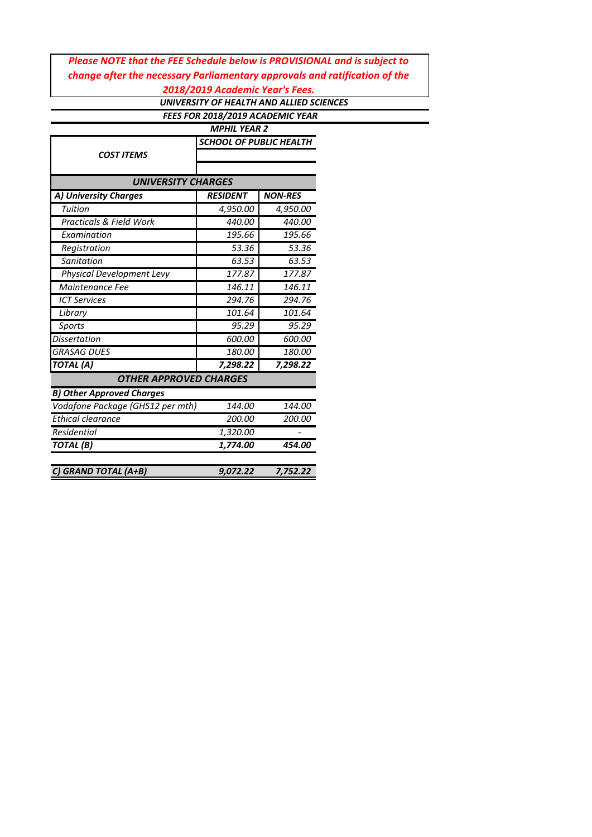## *Please NOTE that the FEE Schedule below is PROVISIONAL and is subject to change after the necessary Parliamentary approvals and ratification of the 2018/2019 Academic Year's Fees.*

 *UNIVERSITY OF HEALTH AND ALLIED SCIENCES FEES FOR 2018/2019 ACADEMIC YEAR*

| <b>MPHIL YEAR 2</b>              |                                |                |  |  |  |
|----------------------------------|--------------------------------|----------------|--|--|--|
| <b>COST ITEMS</b>                | <b>SCHOOL OF PUBLIC HEALTH</b> |                |  |  |  |
|                                  |                                |                |  |  |  |
| <b>UNIVERSITY CHARGES</b>        |                                |                |  |  |  |
| A) University Charges            | <b>RESIDENT</b>                | <b>NON-RES</b> |  |  |  |
| Tuition                          | 4,950.00                       | 4,950.00       |  |  |  |
| Practicals & Field Work          | 440.00                         | 440.00         |  |  |  |
| Examination                      | 195.66                         | 195.66         |  |  |  |
| Registration                     | 53.36                          | 53.36          |  |  |  |
| Sanitation                       | 63.53                          | 63.53          |  |  |  |
| Physical Development Levy        | 177.87                         | 177.87         |  |  |  |
| Maintenance Fee                  | 146.11                         | 146.11         |  |  |  |
| <b>ICT Services</b>              | 294.76                         | 294.76         |  |  |  |
| Library                          | 101.64                         | 101.64         |  |  |  |
| <b>Sports</b>                    | 95.29                          | 95.29          |  |  |  |
| <b>Dissertation</b>              | 600.00                         | 600.00         |  |  |  |
| <b>GRASAG DUES</b>               | 180.00                         | 180.00         |  |  |  |
| <b>TOTAL</b> (A)                 | 7,298.22                       | 7,298.22       |  |  |  |
| <b>OTHER APPROVED CHARGES</b>    |                                |                |  |  |  |
| <b>B) Other Approved Charges</b> |                                |                |  |  |  |
| Vodafone Package (GHS12 per mth) | 144.00                         | 144.00         |  |  |  |
| <b>Ethical clearance</b>         | 200.00                         | 200.00         |  |  |  |
| Residential                      | 1,320.00                       |                |  |  |  |
| TOTAL(B)                         | 1,774.00                       | 454.00         |  |  |  |
| C) GRAND TOTAL (A+B)             | 9,072.22                       | 7,752.22       |  |  |  |